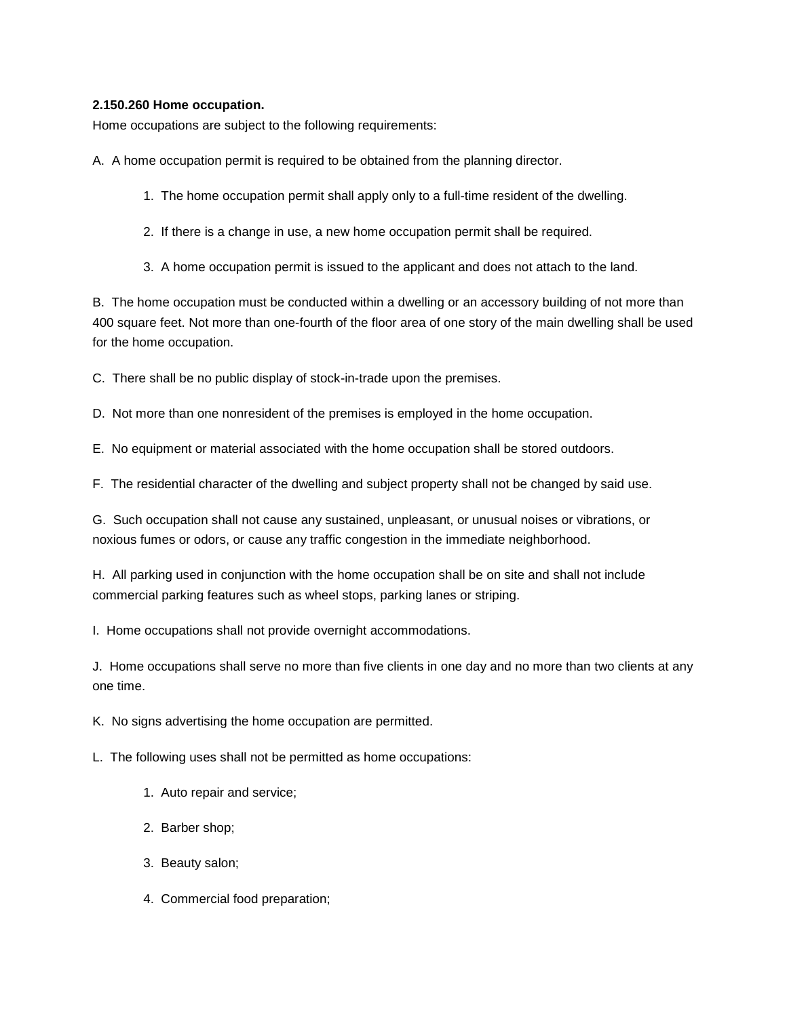## **2.150.260 Home occupation.**

Home occupations are subject to the following requirements:

A. A home occupation permit is required to be obtained from the planning director.

- 1. The home occupation permit shall apply only to a full-time resident of the dwelling.
- 2. If there is a change in use, a new home occupation permit shall be required.
- 3. A home occupation permit is issued to the applicant and does not attach to the land.

B. The home occupation must be conducted within a dwelling or an accessory building of not more than 400 square feet. Not more than one-fourth of the floor area of one story of the main dwelling shall be used for the home occupation.

C. There shall be no public display of stock-in-trade upon the premises.

D. Not more than one nonresident of the premises is employed in the home occupation.

E. No equipment or material associated with the home occupation shall be stored outdoors.

F. The residential character of the dwelling and subject property shall not be changed by said use.

G. Such occupation shall not cause any sustained, unpleasant, or unusual noises or vibrations, or noxious fumes or odors, or cause any traffic congestion in the immediate neighborhood.

H. All parking used in conjunction with the home occupation shall be on site and shall not include commercial parking features such as wheel stops, parking lanes or striping.

I. Home occupations shall not provide overnight accommodations.

J. Home occupations shall serve no more than five clients in one day and no more than two clients at any one time.

K. No signs advertising the home occupation are permitted.

L. The following uses shall not be permitted as home occupations:

- 1. Auto repair and service;
- 2. Barber shop;
- 3. Beauty salon;
- 4. Commercial food preparation;